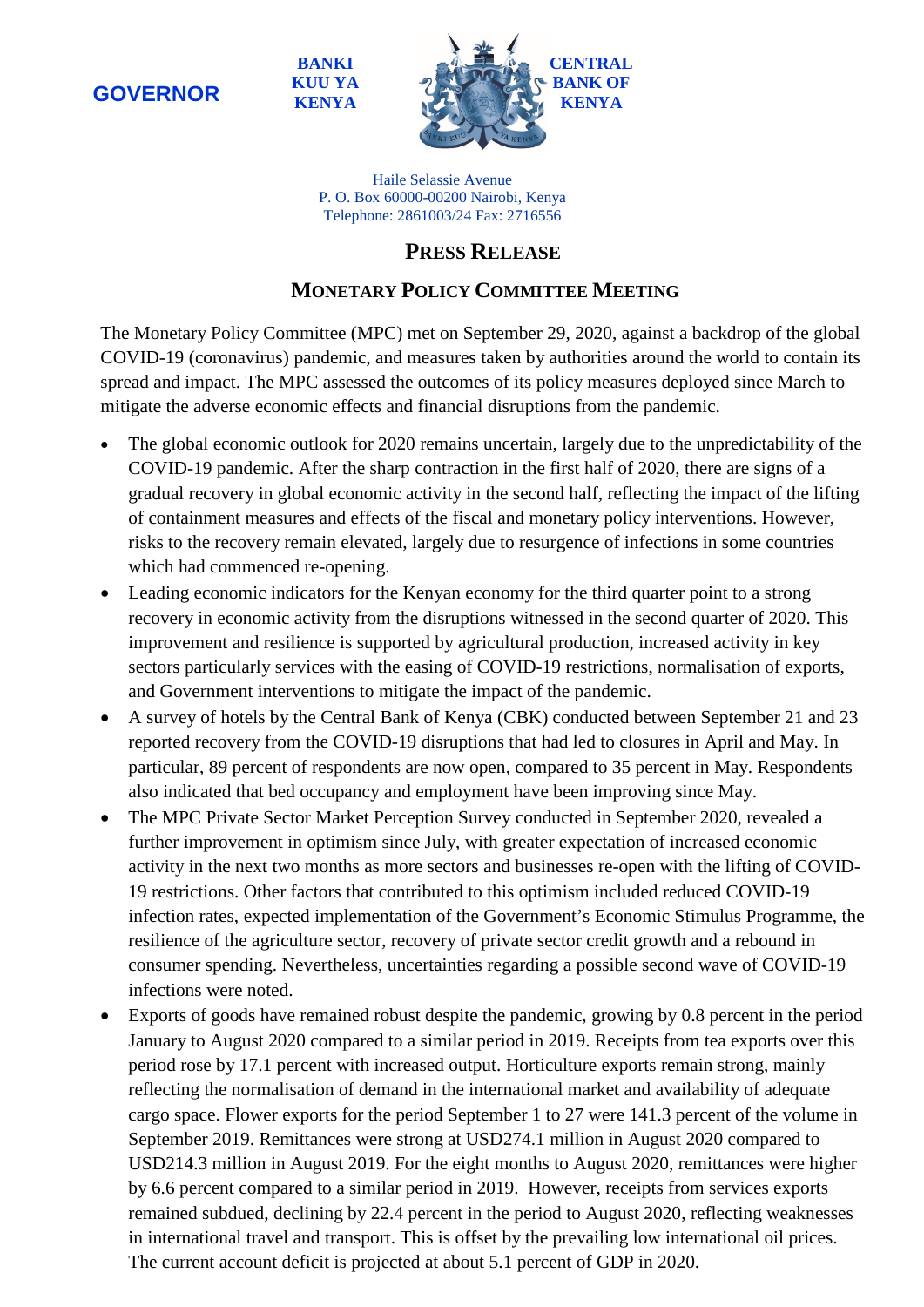**BANKI KUU YA KENYA**



Haile Selassie Avenue P. O. Box 60000-00200 Nairobi, Kenya Telephone: 2861003/24 Fax: 2716556

## **PRESS RELEASE**

## **MONETARY POLICY COMMITTEE MEETING**

The Monetary Policy Committee (MPC) met on September 29, 2020, against a backdrop of the global COVID-19 (coronavirus) pandemic, and measures taken by authorities around the world to contain its spread and impact. The MPC assessed the outcomes of its policy measures deployed since March to mitigate the adverse economic effects and financial disruptions from the pandemic.

- The global economic outlook for 2020 remains uncertain, largely due to the unpredictability of the COVID-19 pandemic. After the sharp contraction in the first half of 2020, there are signs of a gradual recovery in global economic activity in the second half, reflecting the impact of the lifting of containment measures and effects of the fiscal and monetary policy interventions. However, risks to the recovery remain elevated, largely due to resurgence of infections in some countries which had commenced re-opening.
- Leading economic indicators for the Kenyan economy for the third quarter point to a strong recovery in economic activity from the disruptions witnessed in the second quarter of 2020. This improvement and resilience is supported by agricultural production, increased activity in key sectors particularly services with the easing of COVID-19 restrictions, normalisation of exports, and Government interventions to mitigate the impact of the pandemic.
- A survey of hotels by the Central Bank of Kenya (CBK) conducted between September 21 and 23 reported recovery from the COVID-19 disruptions that had led to closures in April and May. In particular, 89 percent of respondents are now open, compared to 35 percent in May. Respondents also indicated that bed occupancy and employment have been improving since May.
- The MPC Private Sector Market Perception Survey conducted in September 2020, revealed a further improvement in optimism since July, with greater expectation of increased economic activity in the next two months as more sectors and businesses re-open with the lifting of COVID-19 restrictions. Other factors that contributed to this optimism included reduced COVID-19 infection rates, expected implementation of the Government's Economic Stimulus Programme, the resilience of the agriculture sector, recovery of private sector credit growth and a rebound in consumer spending. Nevertheless, uncertainties regarding a possible second wave of COVID-19 infections were noted.
- Exports of goods have remained robust despite the pandemic, growing by 0.8 percent in the period January to August 2020 compared to a similar period in 2019. Receipts from tea exports over this period rose by 17.1 percent with increased output. Horticulture exports remain strong, mainly reflecting the normalisation of demand in the international market and availability of adequate cargo space. Flower exports for the period September 1 to 27 were 141.3 percent of the volume in September 2019. Remittances were strong at USD274.1 million in August 2020 compared to USD214.3 million in August 2019. For the eight months to August 2020, remittances were higher by 6.6 percent compared to a similar period in 2019. However, receipts from services exports remained subdued, declining by 22.4 percent in the period to August 2020, reflecting weaknesses in international travel and transport. This is offset by the prevailing low international oil prices. The current account deficit is projected at about 5.1 percent of GDP in 2020.